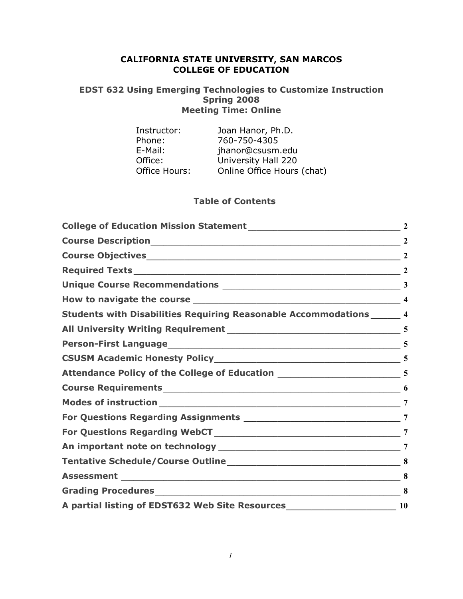# **CALIFORNIA STATE UNIVERSITY, SAN MARCOS COLLEGE OF EDUCATION**

#### **EDST 632 Using Emerging Technologies to Customize Instruction Spring 2008 Meeting Time: Online**

| Instructor:   | Joan Hanor, Ph.D.          |
|---------------|----------------------------|
| Phone:        | 760-750-4305               |
| E-Mail:       | jhanor@csusm.edu           |
| Office:       | University Hall 220        |
| Office Hours: | Online Office Hours (chat) |

#### **Table of Contents**

| Students with Disabilities Requiring Reasonable Accommodations ______ 4              |                 |
|--------------------------------------------------------------------------------------|-----------------|
|                                                                                      |                 |
|                                                                                      | 5               |
|                                                                                      |                 |
|                                                                                      |                 |
|                                                                                      |                 |
|                                                                                      | $7\phantom{.0}$ |
|                                                                                      |                 |
|                                                                                      | 7               |
|                                                                                      | 7               |
|                                                                                      | 8               |
|                                                                                      | 8               |
|                                                                                      | 8               |
| A partial listing of EDST632 Web Site Resources__________________________________ 10 |                 |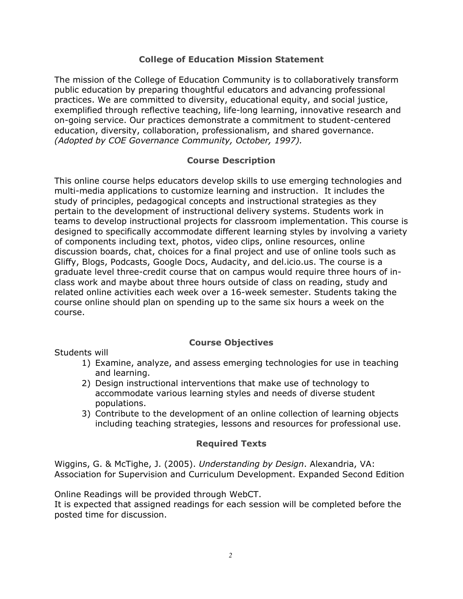#### **College of Education Mission Statement**

The mission of the College of Education Community is to collaboratively transform public education by preparing thoughtful educators and advancing professional practices. We are committed to diversity, educational equity, and social justice, exemplified through reflective teaching, life-long learning, innovative research and on-going service. Our practices demonstrate a commitment to student-centered education, diversity, collaboration, professionalism, and shared governance. *(Adopted by COE Governance Community, October, 1997).*

#### **Course Description**

This online course helps educators develop skills to use emerging technologies and multi-media applications to customize learning and instruction. It includes the study of principles, pedagogical concepts and instructional strategies as they pertain to the development of instructional delivery systems. Students work in teams to develop instructional projects for classroom implementation. This course is designed to specifically accommodate different learning styles by involving a variety of components including text, photos, video clips, online resources, online discussion boards, chat, choices for a final project and use of online tools such as Gliffy, Blogs, Podcasts, Google Docs, Audacity, and del.icio.us. The course is a graduate level three-credit course that on campus would require three hours of inclass work and maybe about three hours outside of class on reading, study and related online activities each week over a 16-week semester. Students taking the course online should plan on spending up to the same six hours a week on the course.

# **Course Objectives**

Students will

- 1) Examine, analyze, and assess emerging technologies for use in teaching and learning.
- 2) Design instructional interventions that make use of technology to accommodate various learning styles and needs of diverse student populations.
- 3) Contribute to the development of an online collection of learning objects including teaching strategies, lessons and resources for professional use.

# **Required Texts**

Wiggins, G. & McTighe, J. (2005). *Understanding by Design*. Alexandria, VA: Association for Supervision and Curriculum Development. Expanded Second Edition

Online Readings will be provided through WebCT.

It is expected that assigned readings for each session will be completed before the posted time for discussion.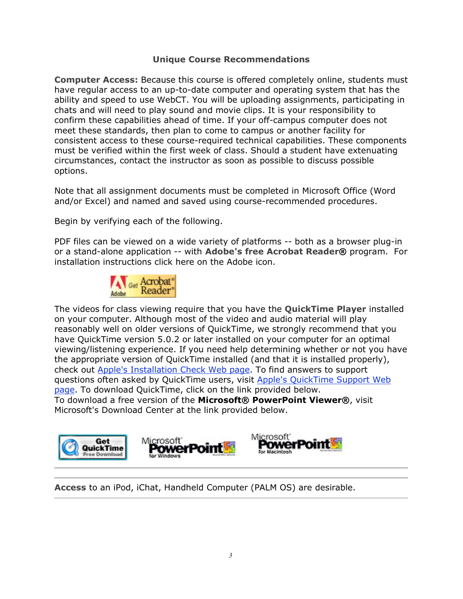# **Unique Course Recommendations**

**Computer Access:** Because this course is offered completely online, students must have regular access to an up-to-date computer and operating system that has the ability and speed to use WebCT. You will be uploading assignments, participating in chats and will need to play sound and movie clips. It is your responsibility to confirm these capabilities ahead of time. If your off-campus computer does not meet these standards, then plan to come to campus or another facility for consistent access to these course-required technical capabilities. These components must be verified within the first week of class. Should a student have extenuating circumstances, contact the instructor as soon as possible to discuss possible options.

Note that all assignment documents must be completed in Microsoft Office (Word and/or Excel) and named and saved using course-recommended procedures.

Begin by verifying each of the following.

PDF files can be viewed on a wide variety of platforms -- both as a browser plug-in or a stand-alone application -- with **Adobe's free Acrobat Reader®** program. For installation instructions click here on the Adobe icon.



The videos for class viewing require that you have the **QuickTime Player** installed on your computer. Although most of the video and audio material will play reasonably well on older versions of QuickTime, we strongly recommend that you have QuickTime version 5.0.2 or later installed on your computer for an optimal viewing/listening experience. If you need help determining whether or not you have the appropriate version of QuickTime installed (and that it is installed properly), check out Apple's Installation Check Web page. To find answers to support questions often asked by QuickTime users, visit Apple's QuickTime Support Web page. To download QuickTime, click on the link provided below. To download a free version of the **Microsoft® PowerPoint Viewer®**, visit Microsoft's Download Center at the link provided below.



**Access** to an iPod, iChat, Handheld Computer (PALM OS) are desirable.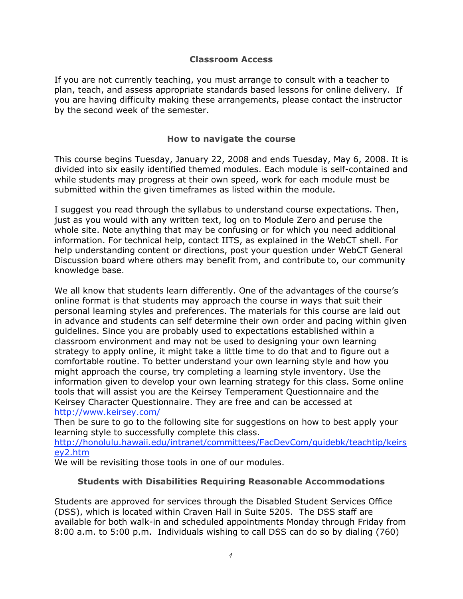#### **Classroom Access**

If you are not currently teaching, you must arrange to consult with a teacher to plan, teach, and assess appropriate standards based lessons for online delivery. If you are having difficulty making these arrangements, please contact the instructor by the second week of the semester.

#### **How to navigate the course**

This course begins Tuesday, January 22, 2008 and ends Tuesday, May 6, 2008. It is divided into six easily identified themed modules. Each module is self-contained and while students may progress at their own speed, work for each module must be submitted within the given timeframes as listed within the module.

I suggest you read through the syllabus to understand course expectations. Then, just as you would with any written text, log on to Module Zero and peruse the whole site. Note anything that may be confusing or for which you need additional information. For technical help, contact IITS, as explained in the WebCT shell. For help understanding content or directions, post your question under WebCT General Discussion board where others may benefit from, and contribute to, our community knowledge base.

We all know that students learn differently. One of the advantages of the course's online format is that students may approach the course in ways that suit their personal learning styles and preferences. The materials for this course are laid out in advance and students can self determine their own order and pacing within given guidelines. Since you are probably used to expectations established within a classroom environment and may not be used to designing your own learning strategy to apply online, it might take a little time to do that and to figure out a comfortable routine. To better understand your own learning style and how you might approach the course, try completing a learning style inventory. Use the information given to develop your own learning strategy for this class. Some online tools that will assist you are the Keirsey Temperament Questionnaire and the Keirsey Character Questionnaire. They are free and can be accessed at http://www.keirsey.com/

Then be sure to go to the following site for suggestions on how to best apply your learning style to successfully complete this class.

http://honolulu.hawaii.edu/intranet/committees/FacDevCom/guidebk/teachtip/keirs ey2.htm

We will be revisiting those tools in one of our modules.

#### **Students with Disabilities Requiring Reasonable Accommodations**

Students are approved for services through the Disabled Student Services Office (DSS), which is located within Craven Hall in Suite 5205. The DSS staff are available for both walk-in and scheduled appointments Monday through Friday from 8:00 a.m. to 5:00 p.m. Individuals wishing to call DSS can do so by dialing (760)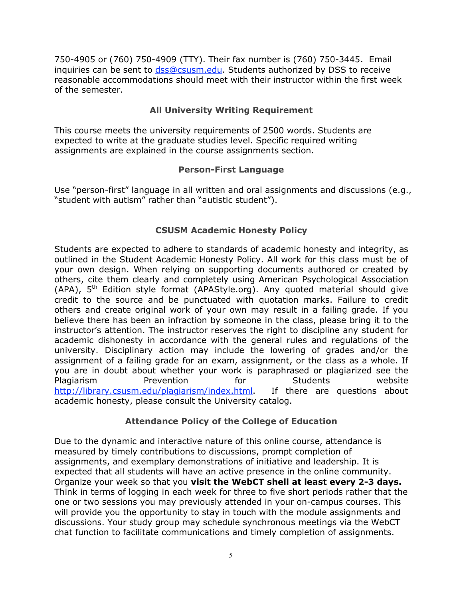750-4905 or (760) 750-4909 (TTY). Their fax number is (760) 750-3445. Email inquiries can be sent to dss@csusm.edu. Students authorized by DSS to receive reasonable accommodations should meet with their instructor within the first week of the semester.

# **All University Writing Requirement**

This course meets the university requirements of 2500 words. Students are expected to write at the graduate studies level. Specific required writing assignments are explained in the course assignments section.

# **Person-First Language**

Use "person-first" language in all written and oral assignments and discussions (e.g., "student with autism" rather than "autistic student").

# **CSUSM Academic Honesty Policy**

Students are expected to adhere to standards of academic honesty and integrity, as outlined in the Student Academic Honesty Policy. All work for this class must be of your own design. When relying on supporting documents authored or created by others, cite them clearly and completely using American Psychological Association (APA),  $5<sup>th</sup>$  Edition style format (APAStyle.org). Any quoted material should give credit to the source and be punctuated with quotation marks. Failure to credit others and create original work of your own may result in a failing grade. If you believe there has been an infraction by someone in the class, please bring it to the instructor's attention. The instructor reserves the right to discipline any student for academic dishonesty in accordance with the general rules and regulations of the university. Disciplinary action may include the lowering of grades and/or the assignment of a failing grade for an exam, assignment, or the class as a whole. If you are in doubt about whether your work is paraphrased or plagiarized see the Plagiarism Prevention for Students website http://library.csusm.edu/plagiarism/index.html. If there are questions about academic honesty, please consult the University catalog.

# **Attendance Policy of the College of Education**

Due to the dynamic and interactive nature of this online course, attendance is measured by timely contributions to discussions, prompt completion of assignments, and exemplary demonstrations of initiative and leadership. It is expected that all students will have an active presence in the online community. Organize your week so that you **visit the WebCT shell at least every 2-3 days.** Think in terms of logging in each week for three to five short periods rather that the one or two sessions you may previously attended in your on-campus courses. This will provide you the opportunity to stay in touch with the module assignments and discussions. Your study group may schedule synchronous meetings via the WebCT chat function to facilitate communications and timely completion of assignments.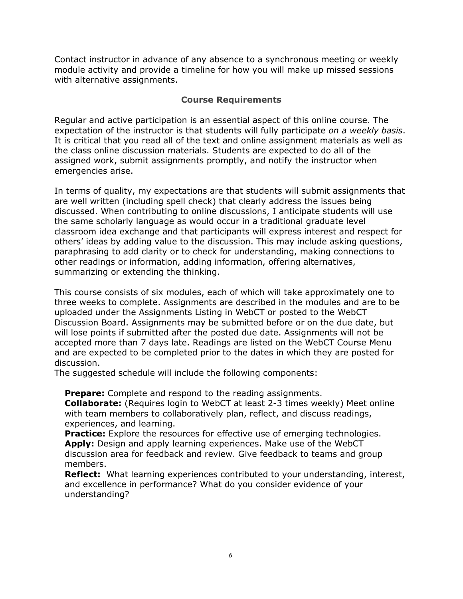Contact instructor in advance of any absence to a synchronous meeting or weekly module activity and provide a timeline for how you will make up missed sessions with alternative assignments.

#### **Course Requirements**

Regular and active participation is an essential aspect of this online course. The expectation of the instructor is that students will fully participate *on a weekly basis*. It is critical that you read all of the text and online assignment materials as well as the class online discussion materials. Students are expected to do all of the assigned work, submit assignments promptly, and notify the instructor when emergencies arise.

In terms of quality, my expectations are that students will submit assignments that are well written (including spell check) that clearly address the issues being discussed. When contributing to online discussions, I anticipate students will use the same scholarly language as would occur in a traditional graduate level classroom idea exchange and that participants will express interest and respect for others' ideas by adding value to the discussion. This may include asking questions, paraphrasing to add clarity or to check for understanding, making connections to other readings or information, adding information, offering alternatives, summarizing or extending the thinking.

This course consists of six modules, each of which will take approximately one to three weeks to complete. Assignments are described in the modules and are to be uploaded under the Assignments Listing in WebCT or posted to the WebCT Discussion Board. Assignments may be submitted before or on the due date, but will lose points if submitted after the posted due date. Assignments will not be accepted more than 7 days late. Readings are listed on the WebCT Course Menu and are expected to be completed prior to the dates in which they are posted for discussion.

The suggested schedule will include the following components:

**Prepare:** Complete and respond to the reading assignments.

**Collaborate:** (Requires login to WebCT at least 2-3 times weekly) Meet online with team members to collaboratively plan, reflect, and discuss readings, experiences, and learning.

**Practice:** Explore the resources for effective use of emerging technologies. **Apply:** Design and apply learning experiences. Make use of the WebCT discussion area for feedback and review. Give feedback to teams and group members.

**Reflect:** What learning experiences contributed to your understanding, interest, and excellence in performance? What do you consider evidence of your understanding?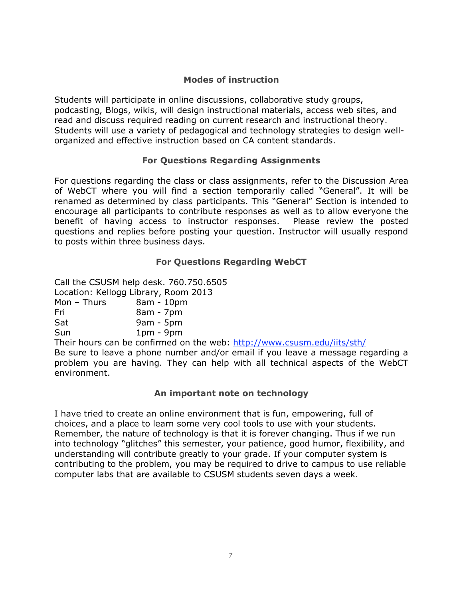# **Modes of instruction**

Students will participate in online discussions, collaborative study groups, podcasting, Blogs, wikis, will design instructional materials, access web sites, and read and discuss required reading on current research and instructional theory. Students will use a variety of pedagogical and technology strategies to design wellorganized and effective instruction based on CA content standards.

# **For Questions Regarding Assignments**

For questions regarding the class or class assignments, refer to the Discussion Area of WebCT where you will find a section temporarily called "General". It will be renamed as determined by class participants. This "General" Section is intended to encourage all participants to contribute responses as well as to allow everyone the benefit of having access to instructor responses. Please review the posted questions and replies before posting your question. Instructor will usually respond to posts within three business days.

# **For Questions Regarding WebCT**

Call the CSUSM help desk. 760.750.6505 Location: Kellogg Library, Room 2013 Mon – Thurs  $8am - 10pm$ Fri 8am - 7pm Sat 9am - 5pm Sun 1pm - 9pm

Their hours can be confirmed on the web: http://www.csusm.edu/iits/sth/ Be sure to leave a phone number and/or email if you leave a message regarding a problem you are having. They can help with all technical aspects of the WebCT environment.

# **An important note on technology**

I have tried to create an online environment that is fun, empowering, full of choices, and a place to learn some very cool tools to use with your students. Remember, the nature of technology is that it is forever changing. Thus if we run into technology "glitches" this semester, your patience, good humor, flexibility, and understanding will contribute greatly to your grade. If your computer system is contributing to the problem, you may be required to drive to campus to use reliable computer labs that are available to CSUSM students seven days a week.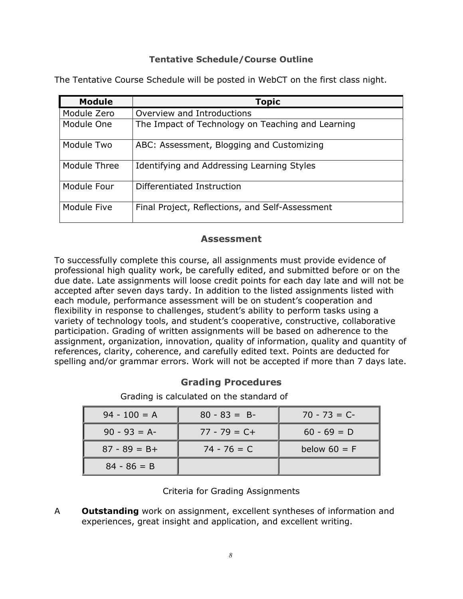#### **Tentative Schedule/Course Outline**

| <b>Module</b> | <b>Topic</b>                                      |
|---------------|---------------------------------------------------|
| Module Zero   | Overview and Introductions                        |
| Module One    | The Impact of Technology on Teaching and Learning |
| Module Two    | ABC: Assessment, Blogging and Customizing         |
| Module Three  | Identifying and Addressing Learning Styles        |
| Module Four   | Differentiated Instruction                        |
| Module Five   | Final Project, Reflections, and Self-Assessment   |

The Tentative Course Schedule will be posted in WebCT on the first class night.

# **Assessment**

To successfully complete this course, all assignments must provide evidence of professional high quality work, be carefully edited, and submitted before or on the due date. Late assignments will loose credit points for each day late and will not be accepted after seven days tardy. In addition to the listed assignments listed with each module, performance assessment will be on student's cooperation and flexibility in response to challenges, student's ability to perform tasks using a variety of technology tools, and student's cooperative, constructive, collaborative participation. Grading of written assignments will be based on adherence to the assignment, organization, innovation, quality of information, quality and quantity of references, clarity, coherence, and carefully edited text. Points are deducted for spelling and/or grammar errors. Work will not be accepted if more than 7 days late.

# **Grading Procedures**

Grading is calculated on the standard of

| $94 - 100 = A$  | $80 - 83 = B$   | $70 - 73 = C$  |
|-----------------|-----------------|----------------|
| $90 - 93 = A$   | $77 - 79 = C +$ | $60 - 69 = D$  |
| $87 - 89 = B +$ | $74 - 76 = C$   | below $60 = F$ |
| $84 - 86 = B$   |                 |                |

# Criteria for Grading Assignments

A **Outstanding** work on assignment, excellent syntheses of information and experiences, great insight and application, and excellent writing.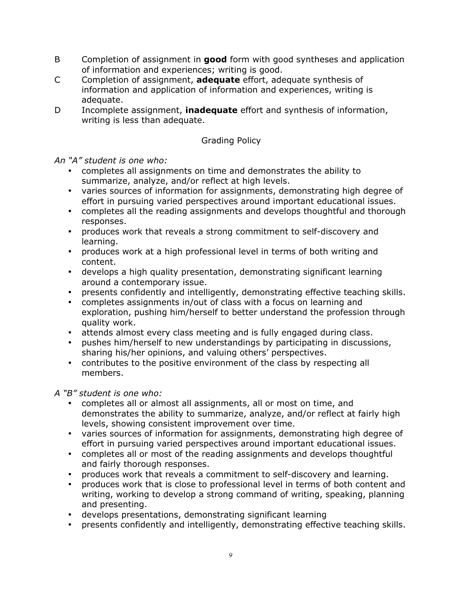- B Completion of assignment in **good** form with good syntheses and application of information and experiences; writing is good.
- C Completion of assignment, **adequate** effort, adequate synthesis of information and application of information and experiences, writing is adequate.
- D Incomplete assignment, **inadequate** effort and synthesis of information, writing is less than adequate.

# Grading Policy

*An "A" student is one who:*

- completes all assignments on time and demonstrates the ability to summarize, analyze, and/or reflect at high levels.
- varies sources of information for assignments, demonstrating high degree of effort in pursuing varied perspectives around important educational issues.
- completes all the reading assignments and develops thoughtful and thorough responses.
- produces work that reveals a strong commitment to self-discovery and learning.
- produces work at a high professional level in terms of both writing and content.
- develops a high quality presentation, demonstrating significant learning around a contemporary issue.
- presents confidently and intelligently, demonstrating effective teaching skills.
- completes assignments in/out of class with a focus on learning and exploration, pushing him/herself to better understand the profession through quality work.
- attends almost every class meeting and is fully engaged during class.
- pushes him/herself to new understandings by participating in discussions, sharing his/her opinions, and valuing others' perspectives.
- contributes to the positive environment of the class by respecting all members.

*A "B" student is one who:*

- completes all or almost all assignments, all or most on time, and demonstrates the ability to summarize, analyze, and/or reflect at fairly high levels, showing consistent improvement over time.
- varies sources of information for assignments, demonstrating high degree of effort in pursuing varied perspectives around important educational issues.
- completes all or most of the reading assignments and develops thoughtful and fairly thorough responses.
- produces work that reveals a commitment to self-discovery and learning.
- produces work that is close to professional level in terms of both content and writing, working to develop a strong command of writing, speaking, planning and presenting.
- develops presentations, demonstrating significant learning
- presents confidently and intelligently, demonstrating effective teaching skills.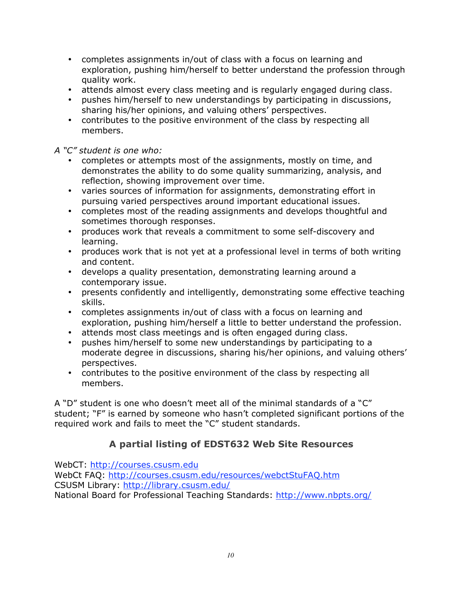- completes assignments in/out of class with a focus on learning and exploration, pushing him/herself to better understand the profession through quality work.
- attends almost every class meeting and is regularly engaged during class.
- pushes him/herself to new understandings by participating in discussions, sharing his/her opinions, and valuing others' perspectives.
- contributes to the positive environment of the class by respecting all members.

*A "C" student is one who:*

- completes or attempts most of the assignments, mostly on time, and demonstrates the ability to do some quality summarizing, analysis, and reflection, showing improvement over time.
- varies sources of information for assignments, demonstrating effort in pursuing varied perspectives around important educational issues.
- completes most of the reading assignments and develops thoughtful and sometimes thorough responses.
- produces work that reveals a commitment to some self-discovery and learning.
- produces work that is not yet at a professional level in terms of both writing and content.
- develops a quality presentation, demonstrating learning around a contemporary issue.
- presents confidently and intelligently, demonstrating some effective teaching skills.
- completes assignments in/out of class with a focus on learning and exploration, pushing him/herself a little to better understand the profession.
- attends most class meetings and is often engaged during class.
- pushes him/herself to some new understandings by participating to a moderate degree in discussions, sharing his/her opinions, and valuing others' perspectives.
- contributes to the positive environment of the class by respecting all members.

A "D" student is one who doesn't meet all of the minimal standards of a "C" student; "F" is earned by someone who hasn't completed significant portions of the required work and fails to meet the "C" student standards.

# **A partial listing of EDST632 Web Site Resources**

WebCT: http://courses.csusm.edu

WebCt FAQ: http://courses.csusm.edu/resources/webctStuFAQ.htm CSUSM Library: http://library.csusm.edu/ National Board for Professional Teaching Standards: http://www.nbpts.org/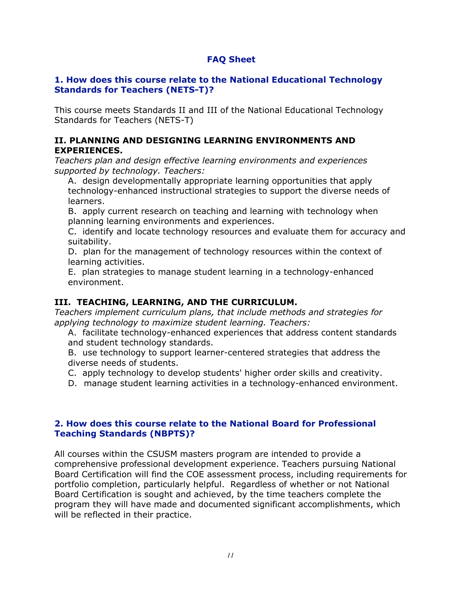# **FAQ Sheet**

#### **1. How does this course relate to the National Educational Technology Standards for Teachers (NETS-T)?**

This course meets Standards II and III of the National Educational Technology Standards for Teachers (NETS-T)

#### **II. PLANNING AND DESIGNING LEARNING ENVIRONMENTS AND EXPERIENCES.**

*Teachers plan and design effective learning environments and experiences supported by technology. Teachers:*

A. design developmentally appropriate learning opportunities that apply technology-enhanced instructional strategies to support the diverse needs of learners.

B. apply current research on teaching and learning with technology when planning learning environments and experiences.

C. identify and locate technology resources and evaluate them for accuracy and suitability.

D. plan for the management of technology resources within the context of learning activities.

E. plan strategies to manage student learning in a technology-enhanced environment.

# **III. TEACHING, LEARNING, AND THE CURRICULUM.**

*Teachers implement curriculum plans, that include methods and strategies for applying technology to maximize student learning. Teachers:*

A. facilitate technology-enhanced experiences that address content standards and student technology standards.

B. use technology to support learner-centered strategies that address the diverse needs of students.

C. apply technology to develop students' higher order skills and creativity.

D. manage student learning activities in a technology-enhanced environment.

#### **2. How does this course relate to the National Board for Professional Teaching Standards (NBPTS)?**

All courses within the CSUSM masters program are intended to provide a comprehensive professional development experience. Teachers pursuing National Board Certification will find the COE assessment process, including requirements for portfolio completion, particularly helpful. Regardless of whether or not National Board Certification is sought and achieved, by the time teachers complete the program they will have made and documented significant accomplishments, which will be reflected in their practice.